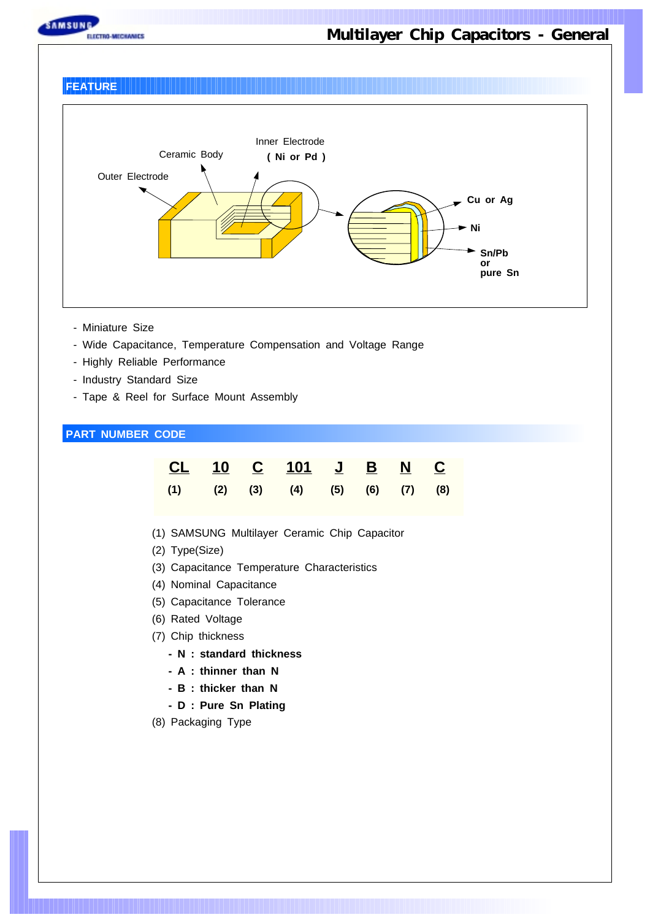

#### **FEATURE**



- Miniature Size
- Wide Capacitance, Temperature Compensation and Voltage Range
- Highly Reliable Performance
- Industry Standard Size
- Tape & Reel for Surface Mount Assembly

#### **PART NUMBER CODE**

|  | <u>CL 10 C 101 J B N C</u>                      |  |  |
|--|-------------------------------------------------|--|--|
|  | $(1)$ $(2)$ $(3)$ $(4)$ $(5)$ $(6)$ $(7)$ $(8)$ |  |  |

- (1) SAMSUNG Multilayer Ceramic Chip Capacitor
- (2) Type(Size)
- (3) Capacitance Temperature Characteristics
- (4) Nominal Capacitance
- (5) Capacitance Tolerance
- (6) Rated Voltage
- (7) Chip thickness
	- **N : standard thickness**
	- **A : thinner than N**
	- **B : thicker than N**
	- **D : Pure Sn Plating**
- (8) Packaging Type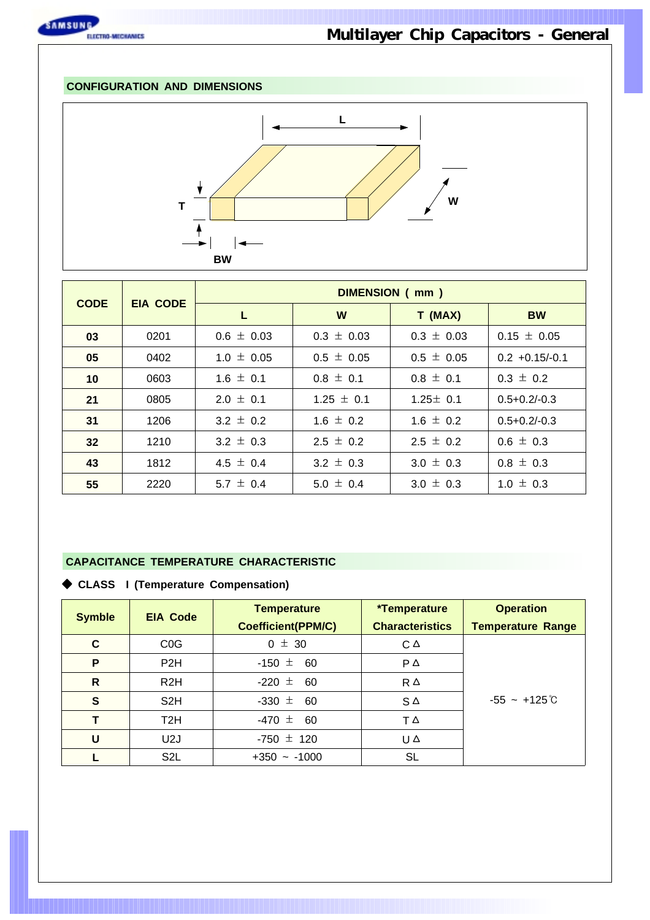

#### **CONFIGURATION AND DIMENSIONS**



| <b>CODE</b> | <b>EIA CODE</b> |                | DIMENSION (mm) |                |                   |  |  |  |  |  |  |  |  |
|-------------|-----------------|----------------|----------------|----------------|-------------------|--|--|--|--|--|--|--|--|
|             |                 |                | W              | T (MAX)        | <b>BW</b>         |  |  |  |  |  |  |  |  |
| 03          | 0201            | $0.6 \pm 0.03$ | $0.3 \pm 0.03$ | $0.3 \pm 0.03$ | $0.15 \pm 0.05$   |  |  |  |  |  |  |  |  |
| 05          | 0402            | $1.0 \pm 0.05$ | $0.5 \pm 0.05$ | $0.5 \pm 0.05$ | $0.2 + 0.15/-0.1$ |  |  |  |  |  |  |  |  |
| 10          | 0603            | $1.6 \pm 0.1$  | $0.8 \pm 0.1$  | $0.8 \pm 0.1$  | $0.3 \pm 0.2$     |  |  |  |  |  |  |  |  |
| 21          | 0805            | $2.0 \pm 0.1$  | $1.25 \pm 0.1$ | $1.25 \pm 0.1$ | $0.5 + 0.2/-0.3$  |  |  |  |  |  |  |  |  |
| 31          | 1206            | $3.2 \pm 0.2$  | $1.6 \pm 0.2$  | $1.6 \pm 0.2$  | $0.5 + 0.2/-0.3$  |  |  |  |  |  |  |  |  |
| 32          | 1210            | $3.2 \pm 0.3$  | $2.5 \pm 0.2$  | $2.5 \pm 0.2$  | $0.6 \pm 0.3$     |  |  |  |  |  |  |  |  |
| 43          | 1812            | 4.5 $\pm$ 0.4  | 3.2 $\pm$ 0.3  | $3.0 \pm 0.3$  | $0.8 \pm 0.3$     |  |  |  |  |  |  |  |  |
| 55          | 2220            | 5.7 $\pm$ 0.4  | $5.0 \pm 0.4$  | $3.0 \pm 0.3$  | $1.0 \pm 0.3$     |  |  |  |  |  |  |  |  |

#### **CAPACITANCE TEMPERATURE CHARACTERISTIC**

| <b>Symble</b> | <b>EIA Code</b>  | <b>Temperature</b><br><b>Coefficient(PPM/C)</b> | <i>*</i> Temperature<br><b>Characteristics</b> | <b>Operation</b><br><b>Temperature Range</b> |  |  |  |  |  |
|---------------|------------------|-------------------------------------------------|------------------------------------------------|----------------------------------------------|--|--|--|--|--|
| C             | COG              | $0 \pm 30$                                      | $C^{\Delta}$                                   |                                              |  |  |  |  |  |
| P             | P <sub>2</sub> H | $-150 \pm 60$                                   | $P \triangle$                                  |                                              |  |  |  |  |  |
| $\mathsf{R}$  | R <sub>2</sub> H | -220 $\pm$<br>- 60                              | $R \triangle$                                  |                                              |  |  |  |  |  |
| $\mathbf{s}$  | S <sub>2</sub> H | $-330 \pm 60$                                   | $S^{\Delta}$                                   | $-55 - +125^{\circ}$ C                       |  |  |  |  |  |
| т             | T <sub>2</sub> H | $-470 \pm 60$                                   | $T \triangle$                                  |                                              |  |  |  |  |  |
| U             | U <sub>2</sub> J | $-750 \pm 120$                                  | UΔ                                             |                                              |  |  |  |  |  |
|               | S <sub>2</sub> L | $+350 - 1000$                                   | <b>SL</b>                                      |                                              |  |  |  |  |  |

#### ◆ **CLASS I (Temperature Compensation)**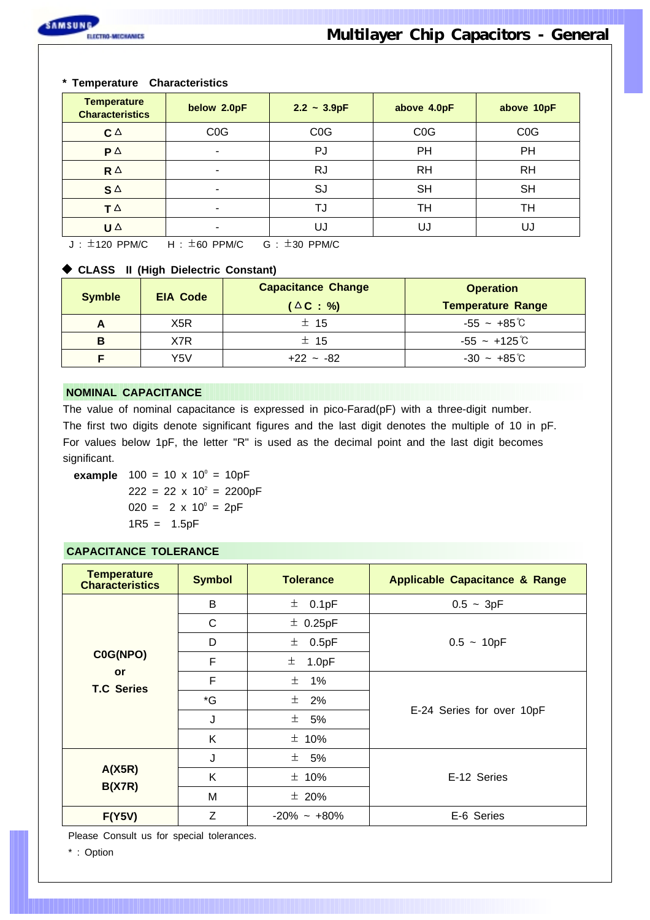#### **\* Temperature Characteristics**

| <b>Temperature</b><br><b>Characteristics</b> | below 2.0pF      | $2.2 - 3.9pF$    | above 4.0pF      | above 10pF       |
|----------------------------------------------|------------------|------------------|------------------|------------------|
| $C^{\Delta}$                                 | C <sub>0</sub> G | C <sub>0</sub> G | C <sub>0</sub> G | C <sub>0</sub> G |
| $\mathsf{P}$ $\Delta$                        | ٠                | PJ               | PH               | PH               |
| $R^{\Delta}$                                 | ٠                | RJ               | <b>RH</b>        | <b>RH</b>        |
| $S^{\Delta}$                                 | ٠                | SJ               | <b>SH</b>        | <b>SH</b>        |
| $T \triangle$                                | ۰                | TJ               | TН               | TН               |
| U $\Delta$                                   | ٠                | UJ               | UJ               | UJ               |

 $J: \pm 120$  PPM/C  $H: \pm 60$  PPM/C  $G: \pm 30$  PPM/C

#### ◆ **CLASS II (High Dielectric Constant)**

| <b>Symble</b> | <b>EIA Code</b> | <b>Capacitance Change</b> | <b>Operation</b>         |
|---------------|-----------------|---------------------------|--------------------------|
|               |                 | $(\Delta C : %)$          | <b>Temperature Range</b> |
| A             | X5R             | ± 15                      | $-55 - +85^{\circ}$      |
| В             | X7R             | $±$ 15                    | $-55$ ~ $+125^\circ$ C   |
|               | Y5V             | $+22 - 82$                | $-30 - +85^{\circ}$ C    |

#### **NOMINAL CAPACITANCE**

The value of nominal capacitance is expressed in pico-Farad(pF) with a three-digit number. The first two digits denote significant figures and the last digit denotes the multiple of 10 in pF. For values below 1pF, the letter "R" is used as the decimal point and the last digit becomes significant.

**example**  $100 = 10 \times 10^{\circ} = 10pF$  $222 = 22 \times 10^2 = 2200pF$  $020 = 2 \times 10^{\circ} = 2pF$  $1R5 = 1.5pF$ 

#### **CAPACITANCE TOLERANCE**

| <b>Temperature</b><br><b>Characteristics</b> | <b>Symbol</b>  | <b>Tolerance</b> | <b>Applicable Capacitance &amp; Range</b> |
|----------------------------------------------|----------------|------------------|-------------------------------------------|
|                                              | B              | 土<br>0.1pF       | $0.5 - 3pF$                               |
|                                              | C              | $±$ 0.25pF       |                                           |
|                                              | D              | 0.5pF<br>土       | $0.5 - 10pF$                              |
| C0G(NPO)                                     | F              | 土<br>1.0pF       |                                           |
| or<br><b>T.C Series</b>                      | F              | 土<br>1%          |                                           |
|                                              | $\mathbf{G}^*$ | 土<br>2%          |                                           |
|                                              | J              | ± 5%             | E-24 Series for over 10pF                 |
|                                              | Κ              | $±$ 10%          |                                           |
|                                              | J              | ± 5%             |                                           |
| A(X5R)                                       | K              | $± 10\%$         | E-12 Series                               |
| <b>B(X7R)</b>                                | M              | $± 20\%$         |                                           |
| F(Y5V)                                       | Z              | $-20\% - +80\%$  | E-6 Series                                |

Please Consult us for special tolerances.

\* : Option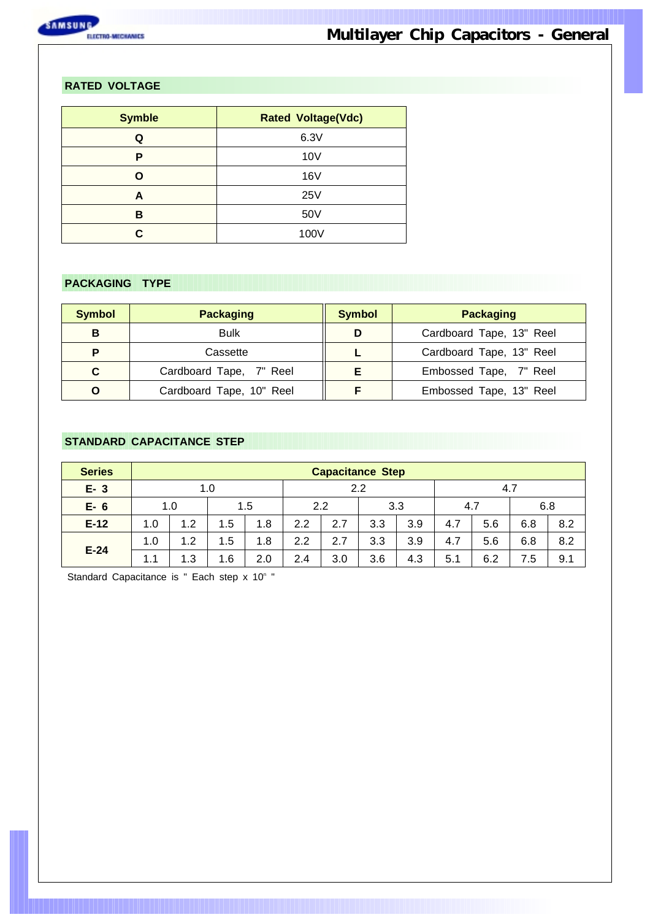

#### **RATED VOLTAGE**

| <b>Symble</b> | <b>Rated Voltage(Vdc)</b> |
|---------------|---------------------------|
| Q             | 6.3V                      |
| P             | 10V                       |
| n             | 16 <sub>V</sub>           |
| А             | 25V                       |
| в             | 50V                       |
|               | 100V                      |

#### **PACKAGING TYPE**

| <b>Symbol</b> | <b>Packaging</b>         | <b>Symbol</b> | <b>Packaging</b>         |  |  |  |  |  |
|---------------|--------------------------|---------------|--------------------------|--|--|--|--|--|
| B             | <b>Bulk</b>              | D             | Cardboard Tape, 13" Reel |  |  |  |  |  |
| Þ             | Cassette                 |               | Cardboard Tape, 13" Reel |  |  |  |  |  |
| C             | Cardboard Tape, 7" Reel  |               | Embossed Tape, 7" Reel   |  |  |  |  |  |
| O             | Cardboard Tape, 10" Reel |               | Embossed Tape, 13" Reel  |  |  |  |  |  |

#### **STANDARD CAPACITANCE STEP**

| <b>Series</b> |     | <b>Capacitance Step</b> |     |     |     |     |     |     |     |     |     |     |  |  |  |
|---------------|-----|-------------------------|-----|-----|-----|-----|-----|-----|-----|-----|-----|-----|--|--|--|
| $E - 3$       |     |                         | 1.0 |     |     |     | 2.2 |     | 4.7 |     |     |     |  |  |  |
| $E-6$         |     | 1.0                     |     | 1.5 |     | 2.2 |     | 3.3 | 4.7 |     | 6.8 |     |  |  |  |
| $E-12$        | 1.0 | 1.2                     | 1.5 | 1.8 | 2.2 | 2.7 | 3.3 | 3.9 | 4.7 | 5.6 | 6.8 | 8.2 |  |  |  |
|               | 1.0 | 1.2                     | 1.5 | 1.8 | 2.2 | 2.7 | 3.3 | 3.9 | 4.7 | 5.6 | 6.8 | 8.2 |  |  |  |
| $E-24$        | 1.1 | 1.3                     | 1.6 | 2.0 | 2.4 | 3.0 | 3.6 | 4.3 | 5.1 | 6.2 | 7.5 | 9.1 |  |  |  |

Standard Capacitance is " Each step  $x$  10 $^{\circ}$  "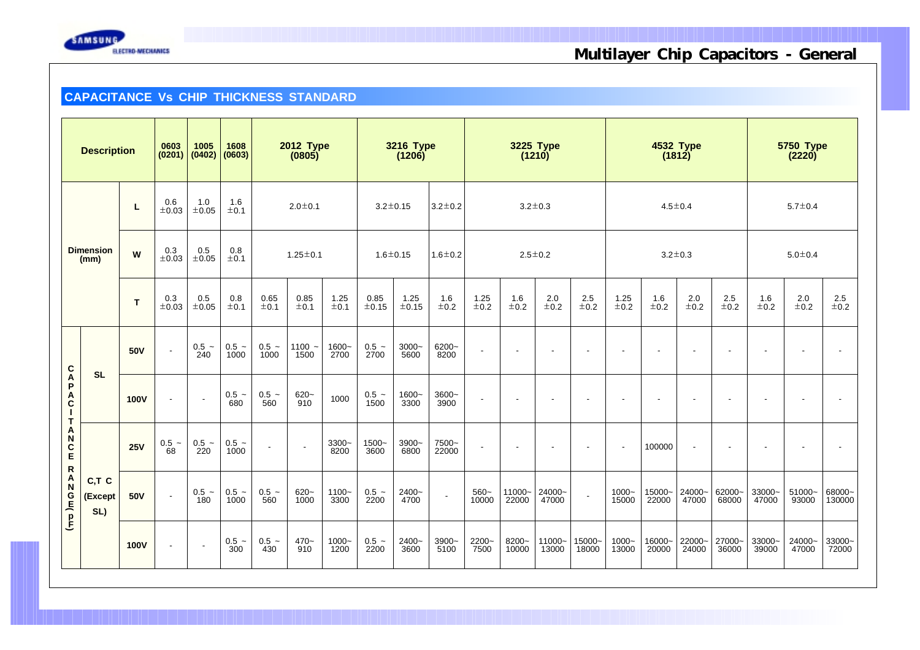

#### **CAPACITANCE Vs CHIP THICKNESS STANDARD**

|                                                  | <b>Description</b>       |             | 0603<br>(0201)                                 | $1005$<br>(0402)         | 1608<br>(0603)             | 2012 Type<br>(0805)      |                  |                  | <b>3216 Type</b><br>(1206)      |                    |                          | 3225 Type<br>(1210) |                          |                          | 4532 Type<br>(1812) |                          |                  |                          | <b>5750 Type</b><br>(2220) |                  |                          |                          |
|--------------------------------------------------|--------------------------|-------------|------------------------------------------------|--------------------------|----------------------------|--------------------------|------------------|------------------|---------------------------------|--------------------|--------------------------|---------------------|--------------------------|--------------------------|---------------------|--------------------------|------------------|--------------------------|----------------------------|------------------|--------------------------|--------------------------|
|                                                  |                          | L           | $\begin{array}{c} 0.6 \\ \pm 0.03 \end{array}$ | 1.0<br>$\pm 0.05$        | 1.6<br>$\pm 0.1$           |                          | $2.0 \pm 0.1$    |                  | $3.2 \pm 0.15$                  |                    | $3.2 \pm 0.2$            |                     |                          | $3.2 \pm 0.3$            |                     |                          |                  | $4.5 \pm 0.4$            |                            |                  | $5.7 \pm 0.4$            |                          |
|                                                  | <b>Dimension</b><br>(mm) | W           | 0.3<br>±0.03                                   | 0.5<br>$\pm 0.05$        | 0.8<br>±0.1                |                          | $1.25 \pm 0.1$   |                  | $1.6 \pm 0.15$<br>$1.6 \pm 0.2$ |                    | $2.5 \pm 0.2$            |                     |                          | $3.2 \pm 0.3$            |                     |                          |                  |                          | $5.0 \pm 0.4$              |                  |                          |                          |
|                                                  |                          | T           | 0.3<br>±0.03                                   | 0.5<br>±0.05             | $^{\rm 0.8}_{\rm \pm 0.1}$ | 0.65<br>±0.1             | 0.85<br>±0.1     | 1.25<br>±0.1     | 0.85<br>±0.15                   | 1.25<br>$\pm 0.15$ | 1.6<br>±0.2              | 1.25<br>$\pm 0.2$   | 1.6<br>$\pm$ 0.2         | $2.0\,$<br>$\pm$ 0.2     | 2.5<br>±0.2         | 1.25<br>±0.2             | 1.6<br>$\pm$ 0.2 | 2.0<br>±0.2              | 2.5<br>$\pm 0.2$           | 1.6<br>$\pm 0.2$ | 2.0<br>$\pm$ 0.2         | $^{2.5}_{\pm0.2}$        |
|                                                  |                          | 50V         | $\sim$                                         | $0.5 -$<br>240           | $0.5 -$<br>1000            | $0.5 -$<br>1000          | $1100 -$<br>1500 | 1600~<br>2700    | $0.5 -$<br>2700                 | $3000 -$<br>5600   | 6200~<br>8200            | $\blacksquare$      | $\overline{\phantom{a}}$ | $\blacksquare$           |                     | $\overline{\phantom{a}}$ |                  | $\blacksquare$           | $\blacksquare$             |                  | $\overline{\phantom{a}}$ | $\overline{\phantom{a}}$ |
| C<br>A<br>P<br>$\mathbf{A}$<br>$\mathbf{I}$<br>Ť | <b>SL</b>                | <b>100V</b> | $\sim$                                         | $\sim$                   | $0.5 -$<br>680             | $0.5 -$<br>560           | $620 -$<br>910   | 1000             | $0.5 -$<br>1500                 | 1600~<br>3300      | 3600~<br>3900            | $\sim$              | $\overline{\phantom{a}}$ | $\overline{\phantom{a}}$ |                     | $\overline{\phantom{a}}$ | $\blacksquare$   | $\blacksquare$           | $\blacksquare$             |                  | $\overline{\phantom{a}}$ | $\overline{\phantom{a}}$ |
| Α<br>N<br>$rac{C}{E}$                            |                          | 25V         | $0.5 -$<br>68                                  | $0.5 -$<br>220           | $0.5 -$<br>1000            | $\overline{\phantom{a}}$ | $\sim$           | $3300 -$<br>8200 | $1500 -$<br>3600                | 3900~<br>6800      | 7500~<br>22000           | $\sim$              |                          | $\sim$                   |                     | $\overline{\phantom{a}}$ | 100000           | $\overline{\phantom{a}}$ | $\blacksquare$             |                  |                          | $\overline{\phantom{a}}$ |
| ${\sf R}$<br>ANGE DE                             | C,T C<br>(Except<br>SL)  | 50V         | $\overline{\phantom{a}}$                       | $0.5 -$<br>180           | $0.5 -$<br>1000            | $0.5 -$<br>560           | $620 -$<br>1000  | $1100 -$<br>3300 | $0.5 -$<br>2200                 | 2400~<br>4700      | $\overline{\phantom{a}}$ | $560-$<br>10000     | 11000~<br>22000          | 24000~<br>47000          | $\overline{a}$      | $1000 -$<br>15000        | 15000~<br>22000  | 24000~<br>47000          | 62000~<br>68000            | 33000~<br>47000  | 51000~<br>93000          | 68000~<br>130000         |
|                                                  |                          | <b>100V</b> | $\sim$                                         | $\overline{\phantom{a}}$ | $0.5 -$<br>300             | $0.5 -$<br>430           | $470 -$<br>910   | $1000 -$<br>1200 | $0.5 -$<br>2200                 | 2400~<br>3600      | 3900~<br>5100            | 2200~<br>7500       | 8200~<br>10000           | 11000~<br>13000          | 15000~<br>18000     | $1000 -$<br>13000        | 16000~<br>20000  | 22000~<br>24000          | 27000~<br>36000            | 33000~<br>39000  | 24000~<br>47000          | 33000~<br>72000          |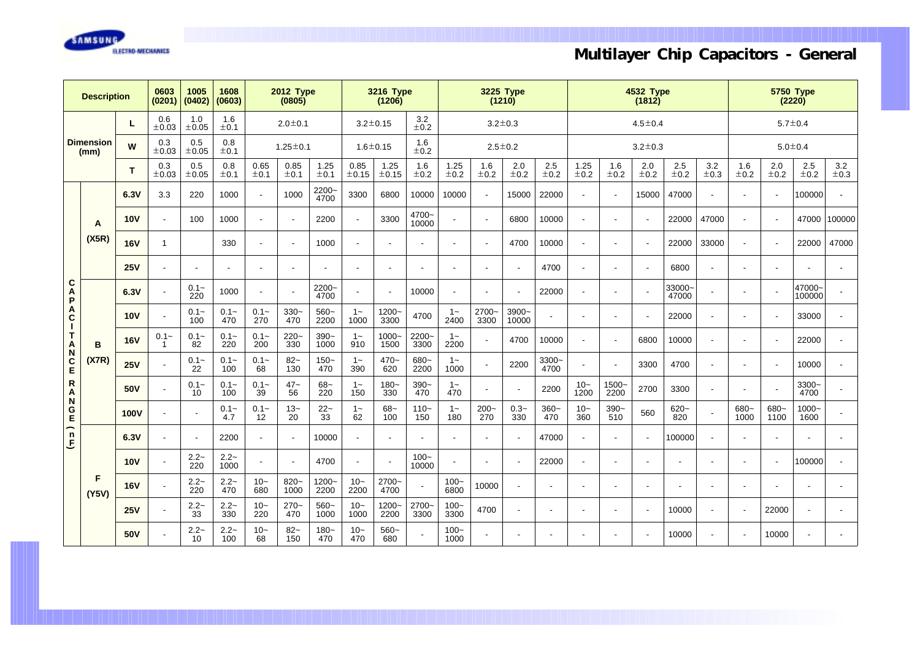

| <b>Description</b>                                 |                          | 0603<br>(0201) | 1005<br>(0402)           | 1608<br>(0603)           |                | <b>2012 Type</b><br>(0805) |                          | <b>3216 Type</b><br>(1206) |                |                          | <b>3225 Type</b><br>(1210) |                          |                          | <b>4532 Type</b><br>(1812) |                          |                          |                |               | <b>5750 Type</b><br>(2220) |                          |                 |                |                          |                          |
|----------------------------------------------------|--------------------------|----------------|--------------------------|--------------------------|----------------|----------------------------|--------------------------|----------------------------|----------------|--------------------------|----------------------------|--------------------------|--------------------------|----------------------------|--------------------------|--------------------------|----------------|---------------|----------------------------|--------------------------|-----------------|----------------|--------------------------|--------------------------|
|                                                    |                          | L              | 0.6<br>$\pm 0.03$        | 1.0<br>±0.05             | 1.6<br>±0.1    |                            | $2.0 \pm 0.1$            |                            |                | $3.2 \pm 0.15$           | 3.2<br>±0.2                |                          | $3.2 \pm 0.3$            |                            |                          | $4.5 \pm 0.4$            |                |               |                            |                          | $5.7 \pm 0.4$   |                |                          |                          |
|                                                    | <b>Dimension</b><br>(mm) | W              | 0.3<br>$\pm 0.03$        | 0.5<br>±0.05             | 0.8<br>±0.1    |                            | $1.25 \pm 0.1$           |                            |                | $1.6 + 0.15$             | 1.6<br>±0.2                |                          |                          | $2.5 \pm 0.2$              |                          |                          |                | $3.2 \pm 0.3$ |                            |                          |                 |                | $5.0 \pm 0.4$            |                          |
|                                                    |                          | T.             | 0.3<br>$\pm 0.03$        | 0.5<br>$\pm 0.05$        | 0.8<br>±0.1    | 0.65<br>±0.1               | 0.85<br>±0.1             | 1.25<br>±0.1               | 0.85<br>±0.15  | 1.25<br>±0.15            | 1.6<br>±0.2                | 1.25<br>±0.2             | 1.6<br>$\pm 0.2$         | 2.0<br>±0.2                | 2.5<br>±0.2              | 1.25<br>±0.2             | 1.6<br>±0.2    | 2.0<br>±0.2   | 2.5<br>±0.2                | 3.2<br>±0.3              | 1.6<br>±0.2     | 2.0<br>±0.2    | 2.5<br>±0.2              | 3.2<br>$\pm 0.3$         |
|                                                    |                          | 6.3V           | 3.3                      | 220                      | 1000           | $\overline{\phantom{a}}$   | 1000                     | 2200~<br>4700              | 3300           | 6800                     | 10000                      | 10000                    |                          | 15000                      | 22000                    |                          |                | 15000         | 47000                      | $\overline{\phantom{a}}$ | $\blacksquare$  |                | 100000                   |                          |
|                                                    | A                        | <b>10V</b>     | $\blacksquare$           | 100                      | 1000           | $\overline{\phantom{a}}$   | $\overline{\phantom{a}}$ | 2200                       |                | 3300                     | 4700~<br>10000             |                          |                          | 6800                       | 10000                    |                          |                |               | 22000                      | 47000                    | $\blacksquare$  |                | 47000                    | 100000                   |
|                                                    | (X5R)                    | <b>16V</b>     | $\overline{1}$           |                          | 330            | $\tilde{\phantom{a}}$      | ÷,                       | 1000                       |                |                          |                            |                          |                          | 4700                       | 10000                    |                          |                |               | 22000                      | 33000                    | $\blacksquare$  |                | 22000                    | 47000                    |
|                                                    |                          | 25V            | $\blacksquare$           | $\overline{\phantom{a}}$ | $\blacksquare$ | $\overline{\phantom{a}}$   | $\overline{\phantom{a}}$ |                            |                |                          |                            | $\overline{\phantom{a}}$ |                          |                            | 4700                     |                          |                |               | 6800                       | $\overline{\phantom{a}}$ | $\blacksquare$  | $\blacksquare$ |                          | $\blacksquare$           |
| $\mathbf{C}$<br>A<br>$\boldsymbol{\mathsf{P}}$     |                          | 6.3V           | $\blacksquare$           | $0.1 -$<br>220           | 1000           | $\overline{\phantom{a}}$   | ÷,                       | $2200 -$<br>4700           |                |                          | 10000                      |                          |                          |                            | 22000                    |                          |                |               | 33000-<br>47000            | $\overline{\phantom{a}}$ | $\blacksquare$  |                | 47000~<br>100000         |                          |
| $\overset{\mathsf{A}}{\mathtt{c}}$<br>$\mathbf{I}$ |                          | <b>10V</b>     | $\overline{\phantom{a}}$ | $0.1 -$<br>100           | $0.1 -$<br>470 | $0.1 -$<br>270             | $330-$<br>470            | $560-$<br>2200             | $1 -$<br>1000  | $1200 -$<br>3300         | 4700                       | $1 -$<br>2400            | 2700~<br>3300            | 3900~<br>10000             |                          |                          |                |               | 22000                      | $\overline{\phantom{a}}$ | ÷.              |                | 33000                    | $\blacksquare$           |
| $\mathsf T$                                        | B                        | <b>16V</b>     | $0.1 -$<br>-1            | $0.1 -$<br>82            | $0.1 -$<br>220 | $0.1 -$<br>200             | $220 -$<br>330           | $390-$<br>1000             | $1 -$<br>910   | $1000 -$<br>1500         | $2200 -$<br>3300           | $1 -$<br>2200            |                          | 4700                       | 10000                    | $\overline{\phantom{a}}$ |                | 6800          | 10000                      | $\overline{\phantom{a}}$ | ÷.              | $\blacksquare$ | 22000                    |                          |
| A<br>C<br>E                                        | (X7R)                    | 25V            | $\overline{\phantom{a}}$ | $0.1 -$<br>22            | $0.1 -$<br>100 | $0.1 -$<br>68              | $82 -$<br>130            | $150 -$<br>470             | $1 -$<br>390   | $470 -$<br>620           | $680-$<br>2200             | $1 -$<br>1000            |                          | 2200                       | 3300~<br>4700            |                          |                | 3300          | 4700                       | $\overline{\phantom{a}}$ | $\blacksquare$  | $\blacksquare$ | 10000                    | $\overline{\phantom{a}}$ |
| $\mathsf{R}_{\mathsf{A}}$                          |                          | 50V            | $\blacksquare$           | $0.1 -$<br>10            | $0.1 -$<br>100 | $0.1 -$<br>39              | $47 -$<br>56             | $68 -$<br>220              | $1 -$<br>150   | $180 -$<br>330           | $390 -$<br>470             | $1 -$<br>470             |                          |                            | 2200                     | $10 -$<br>1200           | 1500~<br>2200  | 2700          | 3300                       | $\blacksquare$           | $\blacksquare$  | $\blacksquare$ | $3300 -$<br>4700         | $\blacksquare$           |
| N<br>$rac{G}{E}$                                   |                          | <b>100V</b>    | $\overline{\phantom{a}}$ | $\overline{\phantom{a}}$ | $0.1 -$<br>4.7 | $0.1 -$<br>12              | $13-$<br>20              | $22 -$<br>33               | $1 -$<br>62    | $68-$<br>100             | $110-$<br>150              | $1 -$<br>180             | $200 -$<br>270           | $0.3-$<br>330              | $360 -$<br>470           | $10-$<br>360             | $390 -$<br>510 | 560           | $620 -$<br>820             |                          | $680 -$<br>1000 | 680~<br>1100   | $1000 -$<br>1600         |                          |
| ∽<br>$\mathsf{n}$<br>$\overline{\mathsf{E}}$       |                          | 6.3V           | $\blacksquare$           | ÷,                       | 2200           | $\tilde{\phantom{a}}$      | ÷,                       | 10000                      |                | $\overline{\phantom{a}}$ | $\blacksquare$             | $\blacksquare$           |                          |                            | 47000                    |                          |                |               | 100000                     | $\overline{\phantom{a}}$ | ÷,              | $\blacksquare$ | $\overline{\phantom{a}}$ | $\blacksquare$           |
|                                                    |                          | <b>10V</b>     | $\blacksquare$           | $2.2-$<br>220            | $2.2-$<br>1000 |                            | $\overline{\phantom{a}}$ | 4700                       |                |                          | $100 -$<br>10000           |                          | $\overline{\phantom{a}}$ |                            | 22000                    |                          |                |               |                            | $\blacksquare$           | ٠               |                | 100000                   |                          |
|                                                    | F<br>(Y5V)               | <b>16V</b>     | $\overline{\phantom{a}}$ | $2.2-$<br>220            | $2.2-$<br>470  | $10-$<br>680               | $820 -$<br>1000          | $1200 -$<br>2200           | $10 -$<br>2200 | 2700~<br>4700            |                            | $100 -$<br>6800          | 10000                    |                            | $\overline{\phantom{a}}$ |                          |                |               |                            | $\overline{\phantom{a}}$ | ٠               |                | $\overline{\phantom{a}}$ | $\blacksquare$           |
|                                                    |                          | 25V            | $\blacksquare$           | $2.2-$<br>33             | $2.2-$<br>330  | $10-$<br>220               | $270-$<br>470            | $560-$<br>1000             | $10-$<br>1000  | $1200 -$<br>2200         | 2700~<br>3300              | $100 -$<br>3300          | 4700                     |                            |                          |                          |                |               | 10000                      | $\blacksquare$           | $\blacksquare$  | 22000          | $\blacksquare$           | $\overline{\phantom{a}}$ |
|                                                    |                          | 50V            | $\blacksquare$           | $2.2 -$<br>10            | $2.2 -$<br>100 | $10-$<br>68                | $82 -$<br>150            | $180 -$<br>470             | $10-$<br>470   | $560-$<br>680            |                            | $100 -$<br>1000          |                          |                            |                          |                          |                |               | 10000                      |                          |                 | 10000          |                          |                          |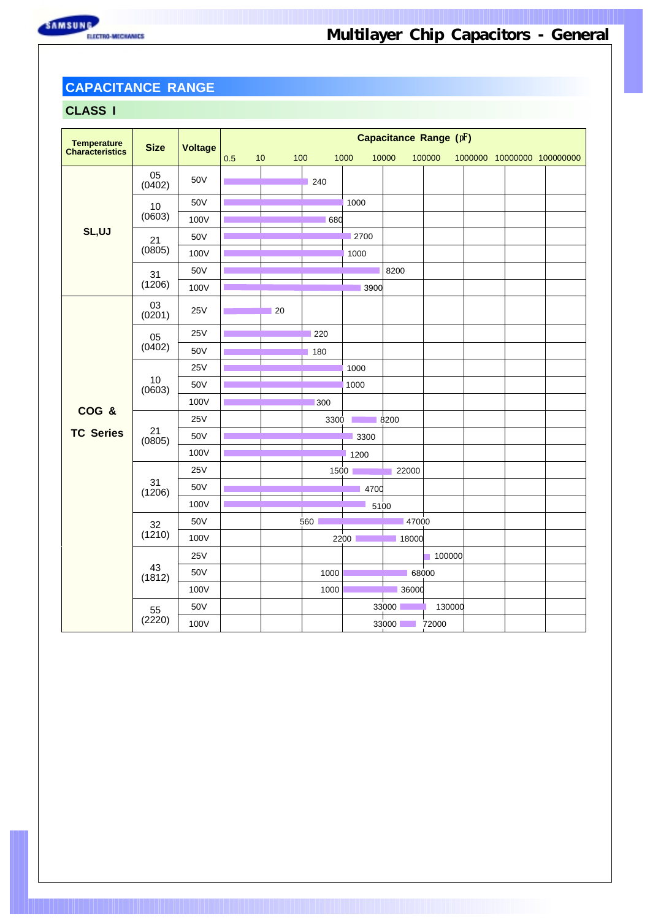## **CAPACITANCE RANGE**

### **CLASS I**

| Temperature<br>Characteristics | <b>Size</b>  |                | Capacitance Range (pF) |             |      |      |             |        |  |  |                            |  |  |
|--------------------------------|--------------|----------------|------------------------|-------------|------|------|-------------|--------|--|--|----------------------------|--|--|
|                                |              | <b>Voltage</b> | 0.5                    | 10          | 100  | 1000 | 10000       | 100000 |  |  | 1000000 10000000 100000000 |  |  |
|                                | 05<br>(0402) | 50V            |                        |             | 240  |      |             |        |  |  |                            |  |  |
|                                | 10           | 50V            |                        |             |      | 1000 |             |        |  |  |                            |  |  |
|                                | (0603)       | 100V           |                        |             | 680  |      |             |        |  |  |                            |  |  |
| SL,UJ                          | 21           | 50V            |                        |             |      | 2700 |             |        |  |  |                            |  |  |
|                                | (0805)       | 100V           |                        |             |      | 1000 |             |        |  |  |                            |  |  |
|                                | 31           | 50V            |                        |             |      |      | 8200        |        |  |  |                            |  |  |
|                                | (1206)       | 100V           |                        |             |      | 3900 |             |        |  |  |                            |  |  |
|                                | 03<br>(0201) | <b>25V</b>     |                        | $\sqrt{20}$ |      |      |             |        |  |  |                            |  |  |
|                                | 05<br>(0402) | 25V            |                        |             | 220  |      |             |        |  |  |                            |  |  |
|                                |              | 50V            |                        |             | 180  |      |             |        |  |  |                            |  |  |
|                                | 10<br>(0603) | <b>25V</b>     |                        |             |      | 1000 |             |        |  |  |                            |  |  |
|                                |              | 50V            |                        |             |      | 1000 |             |        |  |  |                            |  |  |
|                                |              | 100V           |                        |             | 300  |      |             |        |  |  |                            |  |  |
| COG &                          |              | 25V            |                        |             | 3300 |      | 8200        |        |  |  |                            |  |  |
| <b>TC Series</b>               | 21<br>(0805) | 50V            |                        |             |      | 3300 |             |        |  |  |                            |  |  |
|                                |              | 100V           |                        |             |      | 1200 |             |        |  |  |                            |  |  |
|                                |              | <b>25V</b>     |                        |             |      | 1500 | 22000       |        |  |  |                            |  |  |
|                                | 31<br>(1206) | 50V            |                        |             |      | 4700 |             |        |  |  |                            |  |  |
|                                |              | 100V           |                        |             |      | 5100 |             |        |  |  |                            |  |  |
|                                | 32           | 50V            |                        |             | 560  |      | 47000       |        |  |  |                            |  |  |
|                                | (1210)       | 100V           |                        |             |      | 2200 | 18000       |        |  |  |                            |  |  |
|                                |              | 25V            |                        |             |      |      |             | 100000 |  |  |                            |  |  |
|                                | 43<br>(1812) | 50V            |                        |             | 1000 |      | 68000       |        |  |  |                            |  |  |
|                                |              | 100V           |                        |             | 1000 |      | 36000       |        |  |  |                            |  |  |
|                                | 55           | 50V            |                        |             |      |      | 33000       | 130000 |  |  |                            |  |  |
|                                | (2220)       | 100V           |                        |             |      |      | 33000 72000 |        |  |  |                            |  |  |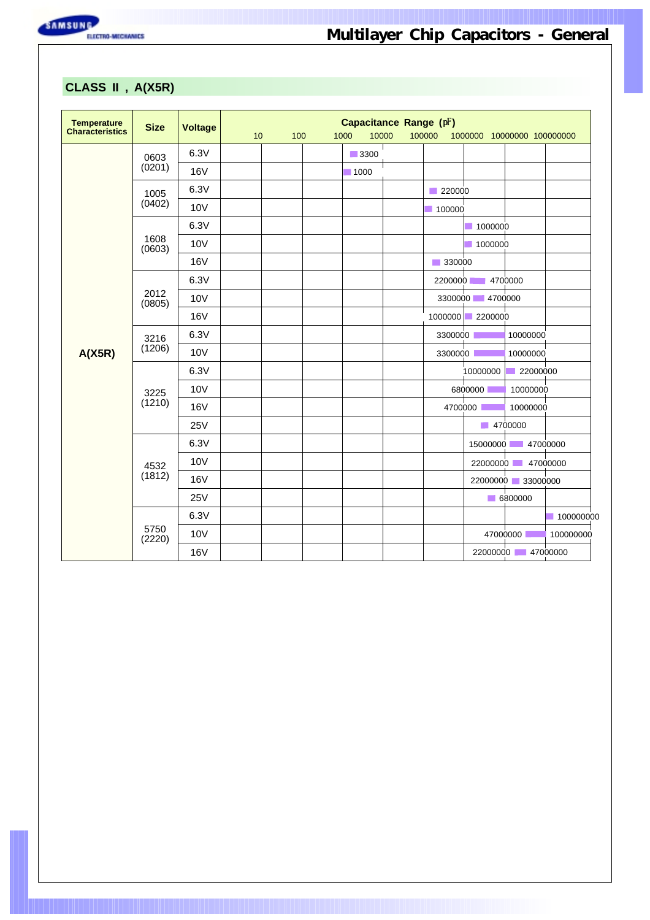

### **CLASS II , A(X5R)**

| Temperature<br>Characteristics | <b>Size</b>    | <b>Voltage</b>  | 10 | 100 | 1000<br>10000       | Capacitance Range (pF)<br>100000 | 1000000 10000000 100000000 |                   |           |
|--------------------------------|----------------|-----------------|----|-----|---------------------|----------------------------------|----------------------------|-------------------|-----------|
|                                | 0603           | 6.3V            |    |     | $\blacksquare 3300$ |                                  |                            |                   |           |
|                                | (0201)         | <b>16V</b>      |    |     | $\blacksquare$ 1000 |                                  |                            |                   |           |
|                                | 1005           | 6.3V            |    |     |                     | 220000                           |                            |                   |           |
|                                | (0402)         | <b>10V</b>      |    |     |                     | 100000                           |                            |                   |           |
|                                |                | 6.3V            |    |     |                     |                                  | 1000000                    |                   |           |
|                                | 1608<br>(0603) | <b>10V</b>      |    |     |                     |                                  | 1000000                    |                   |           |
|                                |                | <b>16V</b>      |    |     |                     | ■ 330000                         |                            |                   |           |
|                                |                | 6.3V            |    |     |                     | 2200000                          |                            | 4700000           |           |
|                                | 2012<br>(0805) | <b>10V</b>      |    |     |                     |                                  | 3300000 4700000            |                   |           |
|                                |                | <b>16V</b>      |    |     |                     | 1000000                          | 2200000                    |                   |           |
|                                | 3216<br>(1206) | 6.3V            |    |     |                     | 3300000                          |                            | 10000000          |           |
| A(X5R)                         |                | 10 <sub>V</sub> |    |     |                     | 3300000                          |                            | 10000000          |           |
|                                |                | 6.3V            |    |     |                     |                                  | 10000000                   | 22000000          |           |
|                                | 3225           | <b>10V</b>      |    |     |                     |                                  | 6800000                    | 10000000          |           |
|                                | (1210)         | <b>16V</b>      |    |     |                     |                                  | 4700000                    | 10000000          |           |
|                                |                | 25V             |    |     |                     |                                  | 14700000                   |                   |           |
|                                |                | 6.3V            |    |     |                     |                                  | 15000000                   | $\sim 1$          | 47000000  |
|                                | 4532           | <b>10V</b>      |    |     |                     |                                  | 22000000                   |                   | 47000000  |
|                                | (1812)         | <b>16V</b>      |    |     |                     |                                  |                            | 22000000 33000000 |           |
|                                |                | 25V             |    |     |                     |                                  |                            | 6800000           |           |
|                                |                | 6.3V            |    |     |                     |                                  |                            |                   | 100000000 |
|                                | 5750<br>(2220) | <b>10V</b>      |    |     |                     |                                  |                            | 47000000          | 100000000 |
|                                |                | <b>16V</b>      |    |     |                     |                                  |                            | 22000000 47000000 |           |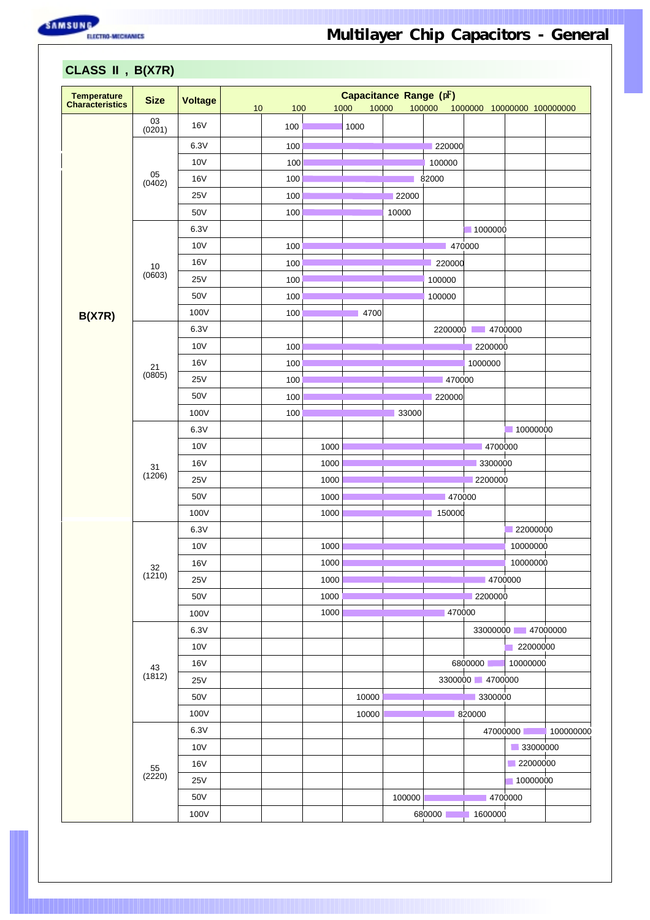SAMSUNG RECONOMICS

| <b>Temperature</b>     |                                           |                 |    |     |      | Capacitance Range (pF) |        |         |                            |                   |           |
|------------------------|-------------------------------------------|-----------------|----|-----|------|------------------------|--------|---------|----------------------------|-------------------|-----------|
| <b>Characteristics</b> | <b>Size</b>                               | <b>Voltage</b>  | 10 | 100 |      | 10000<br>1000          |        | 100000  | 1000000 10000000 100000000 |                   |           |
|                        | $\begin{array}{c} 03 \\ 0201 \end{array}$ | <b>16V</b>      |    | 100 |      | 1000                   |        |         |                            |                   |           |
|                        |                                           | 6.3V            |    | 100 |      |                        |        | 220000  |                            |                   |           |
|                        |                                           | 10 <sub>V</sub> |    | 100 |      |                        |        | 100000  |                            |                   |           |
|                        | 05                                        | <b>16V</b>      |    | 100 |      |                        |        | 82000   |                            |                   |           |
|                        | (0402)                                    | <b>25V</b>      |    | 100 |      |                        | 22000  |         |                            |                   |           |
|                        |                                           | 50V             |    | 100 |      |                        | 10000  |         |                            |                   |           |
|                        |                                           | 6.3V            |    |     |      |                        |        |         | 1000000                    |                   |           |
|                        |                                           | 10 <sub>V</sub> |    | 100 |      |                        |        |         | 470000                     |                   |           |
|                        |                                           | <b>16V</b>      |    | 100 |      |                        |        | 220000  |                            |                   |           |
|                        | $10$<br>(0603)                            | <b>25V</b>      |    | 100 |      |                        |        | 100000  |                            |                   |           |
|                        |                                           | 50V             |    | 100 |      |                        |        | 100000  |                            |                   |           |
|                        |                                           | 100V            |    | 100 |      | 4700                   |        |         |                            |                   |           |
| B(X7R)                 |                                           | 6.3V            |    |     |      |                        |        | 2200000 | $-4700000$                 |                   |           |
|                        |                                           | <b>10V</b>      |    |     |      |                        |        |         |                            |                   |           |
|                        |                                           |                 |    | 100 |      |                        |        |         | 2200000                    |                   |           |
|                        | 21<br>(0805)                              | <b>16V</b>      |    | 100 |      |                        |        | 470000  | 1000000                    |                   |           |
|                        |                                           | <b>25V</b>      |    | 100 |      |                        |        |         |                            |                   |           |
|                        |                                           | 50V             |    | 100 |      |                        |        | 220000  |                            |                   |           |
|                        |                                           | 100V            |    | 100 |      |                        | 33000  |         |                            |                   |           |
|                        |                                           | 6.3V            |    |     |      |                        |        |         |                            | 10000000          |           |
|                        | 31<br>(1206)                              | 10V             |    |     | 1000 |                        |        |         | 4700000                    |                   |           |
|                        |                                           | <b>16V</b>      |    |     | 1000 |                        |        |         | 3300000                    |                   |           |
|                        |                                           | <b>25V</b>      |    |     | 1000 |                        |        |         | 2200000                    |                   |           |
|                        |                                           | 50V             |    |     | 1000 |                        |        | 470000  |                            |                   |           |
|                        |                                           | 100V            |    |     | 1000 |                        |        | 150000  |                            |                   |           |
|                        |                                           | 6.3V            |    |     |      |                        |        |         |                            | 22000000          |           |
|                        |                                           | <b>10V</b>      |    |     | 1000 |                        |        |         |                            | 10000000          |           |
|                        | $32\,$<br>(1210)                          | <b>16V</b>      |    |     | 1000 |                        |        |         |                            | 10000000          |           |
|                        |                                           | <b>25V</b>      |    |     | 1000 |                        |        |         | 4700000                    |                   |           |
|                        |                                           | 50V             |    |     | 1000 |                        |        |         | 2200000                    |                   |           |
|                        |                                           | 100V            |    |     | 1000 |                        |        | 470000  |                            |                   |           |
|                        |                                           | 6.3V            |    |     |      |                        |        |         |                            | 33000000 47000000 |           |
|                        |                                           | 10 <sub>V</sub> |    |     |      |                        |        |         |                            | 22000000          |           |
|                        | 43<br>(1812)                              | 16V             |    |     |      |                        |        |         | 6800000                    | 10000000          |           |
|                        |                                           | 25V             |    |     |      |                        |        |         | 3300000 4700000            |                   |           |
|                        |                                           | 50V             |    |     |      | 10000                  |        |         | 3300000                    |                   |           |
|                        |                                           | 100V            |    |     |      | 10000                  |        |         | 820000                     |                   |           |
|                        |                                           | 6.3V            |    |     |      |                        |        |         |                            | 47000000          | 100000000 |
|                        |                                           | 10 <sub>V</sub> |    |     |      |                        |        |         |                            | 33000000          |           |
|                        | 55                                        | <b>16V</b>      |    |     |      |                        |        |         |                            | 22000000          |           |
|                        | (2220)                                    | 25V             |    |     |      |                        |        |         |                            | 10000000          |           |
|                        |                                           | 50V             |    |     |      |                        | 100000 |         |                            | 4700000           |           |
|                        |                                           | 100V            |    |     |      |                        |        | 680000  | 1600000                    |                   |           |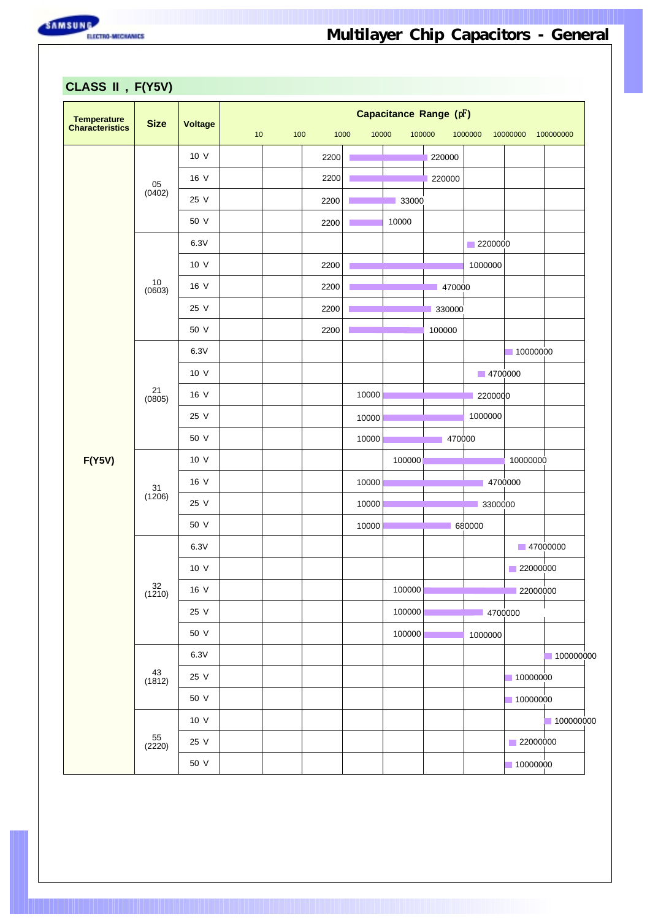

**CLASS II , F(Y5V)**

| Temperature<br>Characteristics | <b>Size</b>         | <b>Voltage</b> |    |     |      |       | Capacitance Range (pF) |        |                    |                          |           |
|--------------------------------|---------------------|----------------|----|-----|------|-------|------------------------|--------|--------------------|--------------------------|-----------|
|                                |                     |                | 10 | 100 | 1000 | 10000 | 100000                 |        | 1000000            | 10000000                 | 100000000 |
|                                |                     | 10 V           |    |     | 2200 |       |                        | 220000 |                    |                          |           |
|                                | 05<br>(0402)        | 16 V           |    |     | 2200 |       |                        | 220000 |                    |                          |           |
|                                |                     | 25 V           |    |     | 2200 |       | 33000                  |        |                    |                          |           |
|                                |                     | 50 V           |    |     | 2200 |       | 10000                  |        |                    |                          |           |
|                                |                     | 6.3V<br>10 V   |    |     |      |       |                        |        | 2200000            |                          |           |
|                                | $10$                |                |    |     | 2200 |       |                        |        | 1000000            |                          |           |
|                                | (0603)              | 16 V           |    |     | 2200 |       |                        | 470000 |                    |                          |           |
|                                |                     | 25 V           |    |     | 2200 |       |                        | 330000 |                    |                          |           |
|                                |                     | 50 V           |    |     | 2200 |       |                        | 100000 |                    |                          |           |
|                                |                     | 6.3V           |    |     |      |       |                        |        |                    | 10000000                 |           |
|                                | 21                  | 10 V           |    |     |      |       |                        |        | 4700000            |                          |           |
|                                | (0805)              | 16 V           |    |     |      | 10000 |                        |        | 2200000<br>1000000 |                          |           |
|                                |                     | 25 V           |    |     |      | 10000 |                        |        |                    |                          |           |
|                                |                     | 50 V           |    |     |      | 10000 |                        | 470000 |                    |                          |           |
| F(Y5V)                         |                     | 10 V           |    |     |      |       | 100000                 |        |                    | 10000000                 |           |
|                                | 31<br>(1206)        | 16 V           |    |     |      | 10000 |                        |        |                    | 4700000                  |           |
|                                |                     | 25 V           |    |     |      | 10000 |                        |        | 3300000            |                          |           |
|                                |                     | 50 V           |    |     |      | 10000 |                        |        | 680000             |                          |           |
|                                |                     | 6.3V           |    |     |      |       |                        |        |                    | $\blacksquare$ 47000000  |           |
|                                |                     | 10 V           |    |     |      |       |                        |        |                    | 22000000<br>$\mathbf{I}$ |           |
|                                | $\frac{32}{(1210)}$ | 16 V           |    |     |      |       | 100000                 |        |                    | 22000000                 |           |
|                                |                     | 25 V           |    |     |      |       | 100000                 |        | 4700000            |                          |           |
|                                |                     | 50 V           |    |     |      |       | 100000                 |        | 1000000            |                          |           |
|                                | 43                  | 6.3V           |    |     |      |       |                        |        |                    |                          | 100000000 |
|                                | (1812)              | 25 V           |    |     |      |       |                        |        |                    | 10000000                 |           |
|                                |                     | 50 V           |    |     |      |       |                        |        |                    | 10000000                 |           |
|                                |                     | 10 V           |    |     |      |       |                        |        |                    |                          | 100000000 |
|                                | $55$<br>(2220)      | 25 V           |    |     |      |       |                        |        |                    | 22000000                 |           |
|                                |                     | 50 V           |    |     |      |       |                        |        |                    | 10000000                 |           |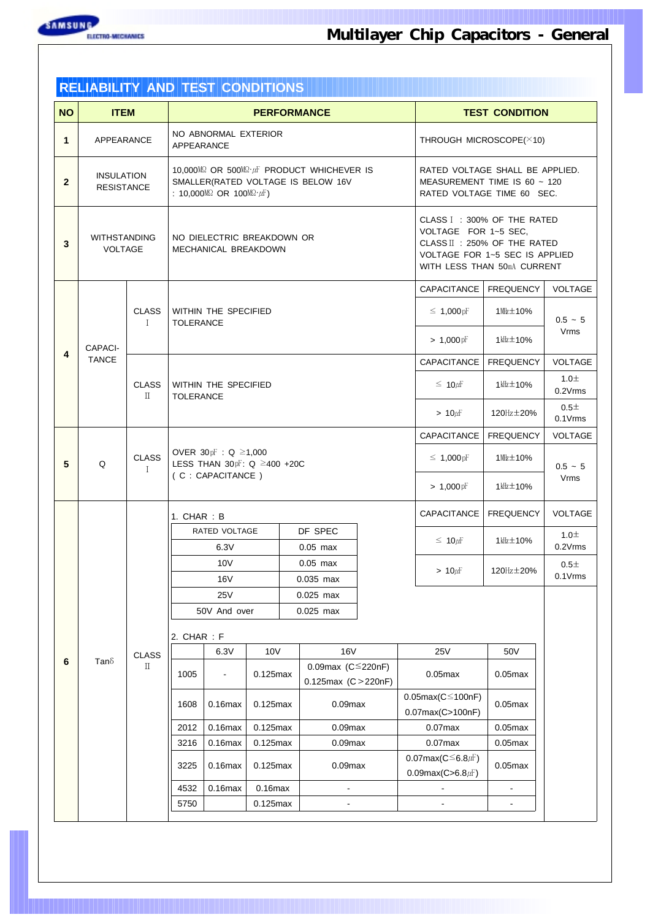

|              | <b>RELIABILITY AND TEST CONDITIONS</b>                                 |                              |                  |                                                                                |              |                                                                                 |                      |                                                                                                                             |                        |                      |  |  |  |  |
|--------------|------------------------------------------------------------------------|------------------------------|------------------|--------------------------------------------------------------------------------|--------------|---------------------------------------------------------------------------------|----------------------|-----------------------------------------------------------------------------------------------------------------------------|------------------------|----------------------|--|--|--|--|
| <b>NO</b>    | <b>ITEM</b>                                                            |                              |                  | <b>PERFORMANCE</b><br><b>TEST CONDITION</b>                                    |              |                                                                                 |                      |                                                                                                                             |                        |                      |  |  |  |  |
| 1            | APPEARANCE                                                             |                              | APPEARANCE       | NO ABNORMAL EXTERIOR                                                           |              |                                                                                 |                      | THROUGH MICROSCOPE(×10)                                                                                                     |                        |                      |  |  |  |  |
| $\mathbf{2}$ | <b>INSULATION</b><br><b>RESISTANCE</b>                                 |                              |                  | : 10,000M $\Omega$ OR 100M $\Omega \cdot \mu$ F)                               |              | 10,000M2 OR 500M2·µF PRODUCT WHICHEVER IS<br>SMALLER(RATED VOLTAGE IS BELOW 16V |                      | RATED VOLTAGE SHALL BE APPLIED.<br>MEASUREMENT TIME IS 60 $\sim$ 120<br>RATED VOLTAGE TIME 60 SEC.                          |                        |                      |  |  |  |  |
| $\mathbf{3}$ | <b>WITHSTANDING</b><br><b>VOLTAGE</b>                                  |                              |                  | NO DIELECTRIC BREAKDOWN OR<br>MECHANICAL BREAKDOWN                             |              |                                                                                 | VOLTAGE FOR 1~5 SEC, | CLASS I: 300% OF THE RATED<br>CLASS II : 250% OF THE RATED<br>VOLTAGE FOR 1~5 SEC IS APPLIED<br>WITH LESS THAN 50mA CURRENT |                        |                      |  |  |  |  |
|              |                                                                        |                              |                  |                                                                                |              |                                                                                 |                      | CAPACITANCE                                                                                                                 | <b>FREQUENCY</b>       | <b>VOLTAGE</b>       |  |  |  |  |
|              |                                                                        | <b>CLASS</b><br>$\mathbf{I}$ | <b>TOLERANCE</b> | <b>WITHIN THE SPECIFIED</b>                                                    |              |                                                                                 |                      | $\leq 1,000$ pF                                                                                                             | 1 业士 10%               | $0.5 - 5$            |  |  |  |  |
| 4            | CAPACI-                                                                |                              |                  |                                                                                |              |                                                                                 |                      | $> 1,000$ pF                                                                                                                | $1$ kHz $\pm$ 10%      | Vrms                 |  |  |  |  |
|              | <b>TANCE</b>                                                           |                              |                  |                                                                                |              |                                                                                 |                      | CAPACITANCE                                                                                                                 | <b>FREQUENCY</b>       | VOLTAGE              |  |  |  |  |
|              |                                                                        | <b>CLASS</b><br>$\mathbb{L}$ | <b>TOLERANCE</b> | WITHIN THE SPECIFIED                                                           |              |                                                                                 |                      | $\leq 10 \mu F$                                                                                                             | $1$ kHz $\pm$ 10%      | 1.0 $\pm$<br>0.2Vrms |  |  |  |  |
|              |                                                                        |                              |                  |                                                                                |              |                                                                                 | $> 10 \mu$ F         | 120Hz ± 20%                                                                                                                 | $0.5\pm$<br>$0.1V$ rms |                      |  |  |  |  |
|              |                                                                        |                              |                  |                                                                                |              |                                                                                 | CAPACITANCE          | <b>FREQUENCY</b>                                                                                                            | <b>VOLTAGE</b>         |                      |  |  |  |  |
| 5            | Q                                                                      | <b>CLASS</b><br>$\mathbf I$  |                  | OVER 30pF : Q ≥1,000<br>LESS THAN $30pF: Q \geq 400 + 20C$<br>(C: CAPACITANCE) |              |                                                                                 |                      | $\leq 1,000$ pF                                                                                                             | 1 业士 10%               | $0.5 - 5$            |  |  |  |  |
|              |                                                                        |                              |                  |                                                                                |              |                                                                                 |                      | $> 1,000 \,\mathrm{pF}$                                                                                                     | 1 kHz ± 10%            | <b>Vrms</b>          |  |  |  |  |
|              |                                                                        |                              | 1. CHAR: B       |                                                                                |              |                                                                                 |                      | CAPACITANCE                                                                                                                 | <b>FREQUENCY</b>       | <b>VOLTAGE</b>       |  |  |  |  |
|              |                                                                        |                              |                  | RATED VOLTAGE                                                                  |              | DF SPEC                                                                         |                      | $\leq 10 \mu F$                                                                                                             | 1 kllz ± 10%           | 1.0 $\pm$<br>0.2Vrms |  |  |  |  |
|              |                                                                        |                              |                  | 6.3V<br>10V                                                                    |              | $0.05$ max<br>$0.05$ max                                                        |                      |                                                                                                                             |                        | 0.5 <sub>±</sub>     |  |  |  |  |
|              |                                                                        |                              |                  | <b>16V</b>                                                                     |              | 0.035 max                                                                       |                      | $> 10 \mu$ F                                                                                                                | 120 $Hz$ $\pm$ 20%     | 0.1Vrms              |  |  |  |  |
|              |                                                                        |                              |                  | <b>25V</b>                                                                     |              | $0.025$ max                                                                     |                      |                                                                                                                             |                        |                      |  |  |  |  |
|              |                                                                        |                              |                  | 50V And over                                                                   |              | 0.025 max                                                                       |                      |                                                                                                                             |                        |                      |  |  |  |  |
|              |                                                                        |                              | 2. CHAR: F       |                                                                                |              |                                                                                 |                      |                                                                                                                             |                        |                      |  |  |  |  |
|              |                                                                        | <b>CLASS</b>                 |                  | 6.3V                                                                           | <b>10V</b>   | <b>16V</b>                                                                      |                      | <b>25V</b>                                                                                                                  | 50V                    |                      |  |  |  |  |
| 6            | Tan $\delta$                                                           | П                            | 1005             |                                                                                | $0.125$ max  | 0.09max $(C^{\leq}220nF)$<br>0.125max $(C > 220nF)$                             |                      | $0.05$ max                                                                                                                  | $0.05$ max             |                      |  |  |  |  |
|              |                                                                        |                              | 1608             | $0.16$ max                                                                     | $0.125$ max  | $0.09$ max                                                                      |                      | $0.05$ max $(C \le 100$ nF)<br>$0.07$ max $(C>100nF)$                                                                       | $0.05$ max             |                      |  |  |  |  |
|              | 2012<br>$0.16$ max<br>$0.125$ max<br>3216<br>$0.16$ max<br>$0.125$ max |                              |                  |                                                                                | $0.09$ max   |                                                                                 | $0.07$ max           | $0.05$ max                                                                                                                  |                        |                      |  |  |  |  |
|              |                                                                        |                              | $0.09$ max       |                                                                                | $0.07$ $max$ | $0.05$ max                                                                      |                      |                                                                                                                             |                        |                      |  |  |  |  |
|              |                                                                        |                              | 3225             | $0.16$ max                                                                     | $0.125$ max  | $0.09$ max                                                                      |                      | 0.07max( $C \leq 6.8 \mu$ F)<br>0.09max( $C > 6.8$ $\mu$ F)                                                                 | $0.05$ max             |                      |  |  |  |  |
|              |                                                                        |                              | 4532             | $0.16$ max                                                                     | $0.16$ max   | $\blacksquare$                                                                  |                      |                                                                                                                             |                        |                      |  |  |  |  |
|              |                                                                        |                              | 5750             |                                                                                | $0.125$ max  |                                                                                 |                      |                                                                                                                             |                        |                      |  |  |  |  |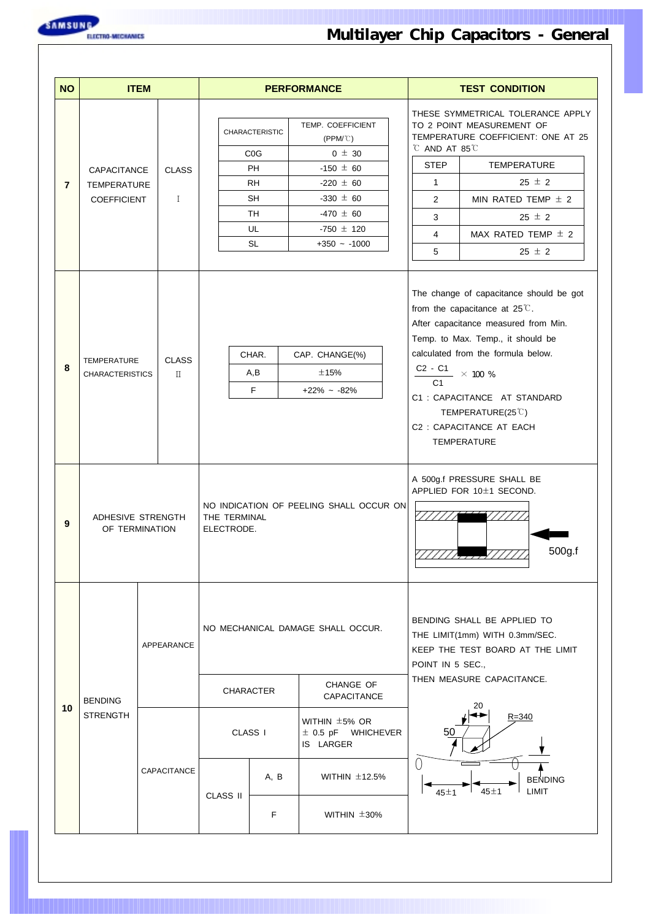

| <b>NO</b>      |                                                                       | <b>ITEM</b>                    |                              |                                                                                |                                                                                                    | <b>PERFORMANCE</b>                                                                                                                                           |                                                                                                                                                                                                                                                                                                                                                             |                                                                                                                                                    | <b>TEST CONDITION</b>                                                                                                                                                                                             |  |  |
|----------------|-----------------------------------------------------------------------|--------------------------------|------------------------------|--------------------------------------------------------------------------------|----------------------------------------------------------------------------------------------------|--------------------------------------------------------------------------------------------------------------------------------------------------------------|-------------------------------------------------------------------------------------------------------------------------------------------------------------------------------------------------------------------------------------------------------------------------------------------------------------------------------------------------------------|----------------------------------------------------------------------------------------------------------------------------------------------------|-------------------------------------------------------------------------------------------------------------------------------------------------------------------------------------------------------------------|--|--|
| $\overline{7}$ | CAPACITANCE<br><b>TEMPERATURE</b><br><b>COEFFICIENT</b>               |                                | <b>CLASS</b><br>$\mathbf{I}$ |                                                                                | <b>CHARACTERISTIC</b><br>C <sub>0</sub> G<br><b>PH</b><br><b>RH</b><br><b>SH</b><br>TH<br>UL<br>SL | TEMP. COEFFICIENT<br>$(PPM/\mathbb{C})$<br>$0 \pm 30$<br>$-150 \pm 60$<br>$-220 \pm 60$<br>$-330 \pm 60$<br>$-470 \pm 60$<br>$-750 \pm 120$<br>$+350 - 1000$ |                                                                                                                                                                                                                                                                                                                                                             | C AND AT 85 C<br><b>STEP</b><br>$\mathbf{1}$<br>$\overline{2}$<br>3<br>4<br>5                                                                      | THESE SYMMETRICAL TOLERANCE APPLY<br>TO 2 POINT MEASUREMENT OF<br>TEMPERATURE COEFFICIENT: ONE AT 25<br>TEMPERATURE<br>$25 \pm 2$<br>MIN RATED TEMP $\pm$ 2<br>25 $\pm$ 2<br>MAX RATED TEMP $\pm$ 2<br>$25 \pm 2$ |  |  |
| 8              | <b>CLASS</b><br><b>TEMPERATURE</b><br><b>CHARACTERISTICS</b><br>$\Pi$ |                                |                              |                                                                                | CHAR.<br>A,B<br>F                                                                                  | CAP. CHANGE(%)<br>±15%<br>$+22\% - 82\%$                                                                                                                     | The change of capacitance should be got<br>from the capacitance at $25^{\circ}$ .<br>After capacitance measured from Min.<br>Temp. to Max. Temp., it should be<br>calculated from the formula below.<br>$\frac{C2 - C1}{C2}$ × 100 %<br>C <sub>1</sub><br>C1: CAPACITANCE AT STANDARD<br>TEMPERATURE(25°C)<br>C2: CAPACITANCE AT EACH<br><b>TEMPERATURE</b> |                                                                                                                                                    |                                                                                                                                                                                                                   |  |  |
| 9              | ADHESIVE STRENGTH<br>OF TERMINATION                                   |                                |                              | THE TERMINAL<br>ELECTRODE.                                                     |                                                                                                    | NO INDICATION OF PEELING SHALL OCCUR ON                                                                                                                      | A 500g.f PRESSURE SHALL BE<br>APPLIED FOR 10±1 SECOND.<br>//////<br>500g.f                                                                                                                                                                                                                                                                                  |                                                                                                                                                    |                                                                                                                                                                                                                   |  |  |
|                |                                                                       | APPEARANCE<br><b>CHARACTER</b> |                              |                                                                                |                                                                                                    | NO MECHANICAL DAMAGE SHALL OCCUR.<br>CHANGE OF                                                                                                               |                                                                                                                                                                                                                                                                                                                                                             | BENDING SHALL BE APPLIED TO<br>THE LIMIT(1mm) WITH 0.3mm/SEC.<br>KEEP THE TEST BOARD AT THE LIMIT<br>POINT IN 5 SEC.,<br>THEN MEASURE CAPACITANCE. |                                                                                                                                                                                                                   |  |  |
| 10             | <b>BENDING</b><br><b>STRENGTH</b>                                     |                                |                              | CAPACITANCE<br>WITHIN ±5% OR<br>CLASS I<br>$\pm$ 0.5 pF WHICHEVER<br>IS LARGER |                                                                                                    |                                                                                                                                                              |                                                                                                                                                                                                                                                                                                                                                             | 20<br>$R = 340$                                                                                                                                    |                                                                                                                                                                                                                   |  |  |
|                |                                                                       | CAPACITANCE                    |                              | <b>CLASS II</b>                                                                | A, B                                                                                               | WITHIN $\pm$ 12.5%                                                                                                                                           |                                                                                                                                                                                                                                                                                                                                                             | $\left(\right)$<br>45±1                                                                                                                            | <b>BENDING</b><br>45±1<br><b>LIMIT</b>                                                                                                                                                                            |  |  |
|                |                                                                       |                                |                              |                                                                                | F                                                                                                  | WITHIN $\pm 30\%$                                                                                                                                            |                                                                                                                                                                                                                                                                                                                                                             |                                                                                                                                                    |                                                                                                                                                                                                                   |  |  |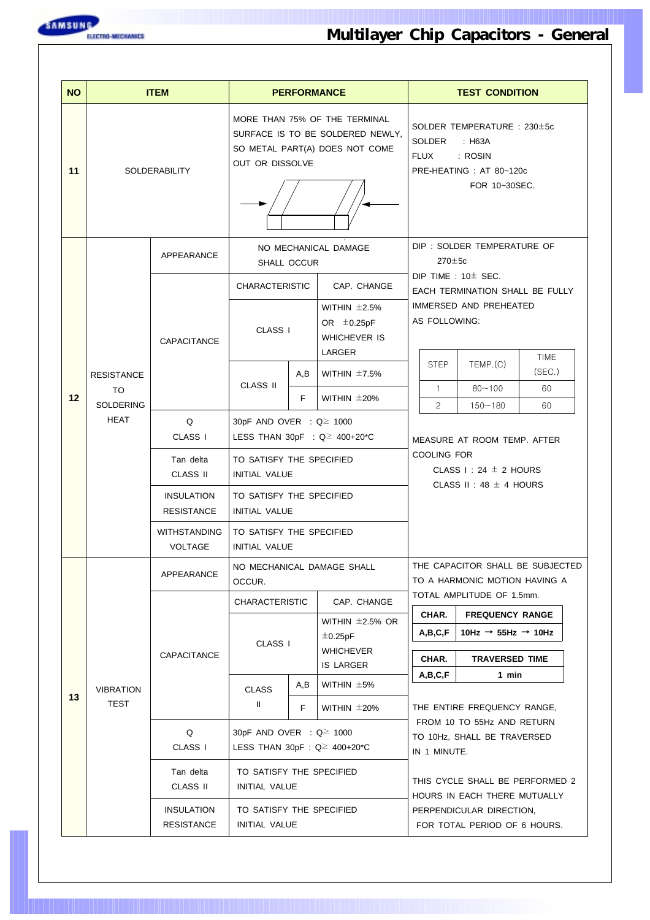

| <b>NO</b> |                             | <b>ITEM</b>                            |                                                                           |     | <b>PERFORMANCE</b>                                                                                  | <b>TEST CONDITION</b>                                                                                                                                                                                    |                                                          |             |  |  |
|-----------|-----------------------------|----------------------------------------|---------------------------------------------------------------------------|-----|-----------------------------------------------------------------------------------------------------|----------------------------------------------------------------------------------------------------------------------------------------------------------------------------------------------------------|----------------------------------------------------------|-------------|--|--|
| 11        |                             | <b>SOLDERABILITY</b>                   | OUT OR DISSOLVE                                                           |     | MORE THAN 75% OF THE TERMINAL<br>SURFACE IS TO BE SOLDERED NEWLY,<br>SO METAL PART(A) DOES NOT COME | SOLDER TEMPERATURE : 230±5c<br><b>SOLDER</b><br>: H63A<br>FLUX<br>: ROSIN<br>PRE-HEATING: AT 80~120c<br>FOR 10~30SEC.                                                                                    |                                                          |             |  |  |
|           |                             | APPEARANCE                             | SHALL OCCUR                                                               |     | NO MECHANICAL DAMAGE                                                                                | $270 \pm 5c$                                                                                                                                                                                             | DIP: SOLDER TEMPERATURE OF                               |             |  |  |
|           |                             |                                        | <b>CHARACTERISTIC</b>                                                     |     | CAP. CHANGE                                                                                         |                                                                                                                                                                                                          | DIP TIME : $10±$ SEC.<br>EACH TERMINATION SHALL BE FULLY |             |  |  |
|           |                             | CAPACITANCE                            | CLASS I                                                                   |     | WITHIN $±2.5%$<br>OR $\pm$ 0.25pF<br><b>WHICHEVER IS</b><br>LARGER                                  | AS FOLLOWING:                                                                                                                                                                                            | IMMERSED AND PREHEATED                                   | <b>TIME</b> |  |  |
|           | <b>RESISTANCE</b>           |                                        | <b>CLASS II</b>                                                           | A,B | WITHIN $±7.5%$                                                                                      | <b>STEP</b>                                                                                                                                                                                              | TEMP.(C)                                                 | (SEC.)      |  |  |
| 12        | TO<br><b>SOLDERING</b>      |                                        |                                                                           | F.  | WITHIN $\pm 20\%$                                                                                   | $\mathbf{1}$<br>$\mathbf{2}^{\prime}$                                                                                                                                                                    | $80 - 100$<br>$150 - 180$                                | 60<br>60    |  |  |
|           | <b>HEAT</b><br>Q<br>CLASS I |                                        | 30pF AND OVER : Q≥ 1000                                                   |     | LESS THAN 30pF : $Q \ge 400+20$ <sup>*</sup> C                                                      |                                                                                                                                                                                                          | MEASURE AT ROOM TEMP. AFTER                              |             |  |  |
|           |                             | Tan delta<br><b>CLASS II</b>           | TO SATISFY THE SPECIFIED<br><b>INITIAL VALUE</b>                          |     |                                                                                                     | <b>COOLING FOR</b>                                                                                                                                                                                       | CLASS $1:24 \pm 2$ HOURS                                 |             |  |  |
|           |                             | <b>INSULATION</b><br><b>RESISTANCE</b> | TO SATISFY THE SPECIFIED<br><b>INITIAL VALUE</b>                          |     |                                                                                                     | CLASS II: 48 $\pm$ 4 HOURS                                                                                                                                                                               |                                                          |             |  |  |
|           |                             | <b>WITHSTANDING</b><br><b>VOLTAGE</b>  | TO SATISFY THE SPECIFIED<br><b>INITIAL VALUE</b>                          |     |                                                                                                     |                                                                                                                                                                                                          |                                                          |             |  |  |
|           |                             | APPEARANCE                             | OCCUR.                                                                    |     | NO MECHANICAL DAMAGE SHALL                                                                          | THE CAPACITOR SHALL BE SUBJECTED<br>TO A HARMONIC MOTION HAVING A                                                                                                                                        |                                                          |             |  |  |
|           |                             |                                        | <b>CHARACTERISTIC</b>                                                     |     | CAP. CHANGE                                                                                         | CHAR.                                                                                                                                                                                                    | TOTAL AMPLITUDE OF 1.5mm.<br><b>FREQUENCY RANGE</b>      |             |  |  |
|           |                             |                                        |                                                                           |     | WITHIN $\pm$ 2.5% OR<br>$\pm$ 0.25pF                                                                | A,B,C,F                                                                                                                                                                                                  | 10Hz $\rightarrow$ 55Hz $\rightarrow$ 10Hz               |             |  |  |
|           |                             | CAPACITANCE                            | CLASS I                                                                   |     | <b>WHICHEVER</b><br><b>IS LARGER</b>                                                                | CHAR.                                                                                                                                                                                                    | <b>TRAVERSED TIME</b>                                    |             |  |  |
| 13        | <b>VIBRATION</b>            |                                        | <b>CLASS</b>                                                              | A,B | WITHIN $±5%$                                                                                        | A,B,C,F                                                                                                                                                                                                  | 1 min                                                    |             |  |  |
|           | TEST                        |                                        | Ш.                                                                        | F   | WITHIN $\pm 20\%$                                                                                   |                                                                                                                                                                                                          | THE ENTIRE FREQUENCY RANGE,                              |             |  |  |
|           |                             | Q<br>CLASS I                           | 30pF AND OVER : Q≥ 1000<br>LESS THAN 30pF : $Q \ge 400+20$ <sup>*</sup> C |     |                                                                                                     | FROM 10 TO 55Hz AND RETURN<br>TO 10Hz, SHALL BE TRAVERSED<br>IN 1 MINUTE.<br>THIS CYCLE SHALL BE PERFORMED 2<br>HOURS IN EACH THERE MUTUALLY<br>PERPENDICULAR DIRECTION,<br>FOR TOTAL PERIOD OF 6 HOURS. |                                                          |             |  |  |
|           |                             | Tan delta<br>CLASS II                  | TO SATISFY THE SPECIFIED<br>INITIAL VALUE                                 |     |                                                                                                     |                                                                                                                                                                                                          |                                                          |             |  |  |
|           |                             | <b>INSULATION</b><br><b>RESISTANCE</b> | TO SATISFY THE SPECIFIED<br>INITIAL VALUE                                 |     |                                                                                                     |                                                                                                                                                                                                          |                                                          |             |  |  |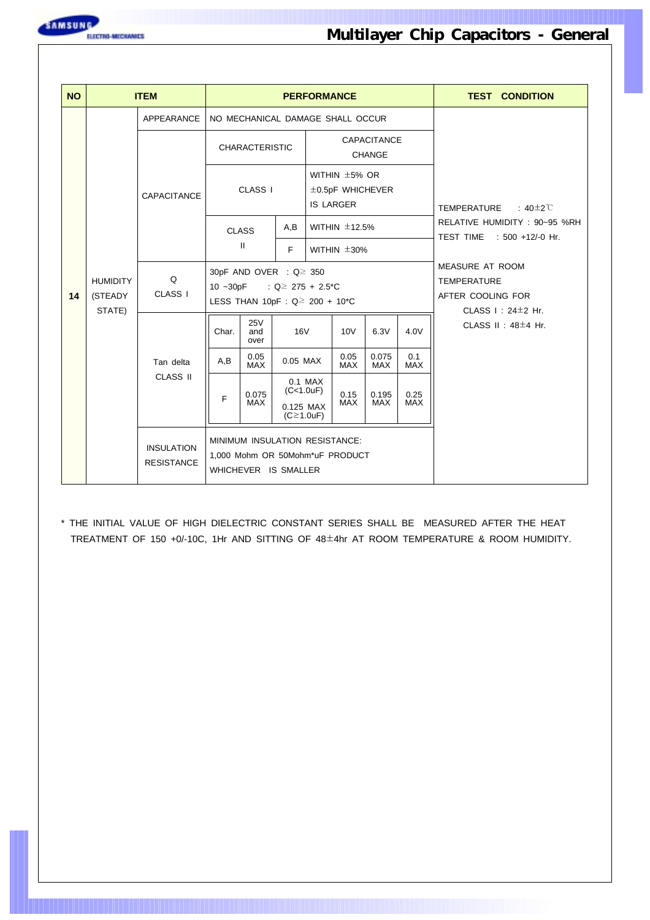

| <b>NO</b> |                                      | <b>ITEM</b>                            |                     |                                                                                           |                                             | <b>PERFORMANCE</b>                                              |                    |                                     |                    | <b>TEST CONDITION</b>                                                                         |  |  |  |
|-----------|--------------------------------------|----------------------------------------|---------------------|-------------------------------------------------------------------------------------------|---------------------------------------------|-----------------------------------------------------------------|--------------------|-------------------------------------|--------------------|-----------------------------------------------------------------------------------------------|--|--|--|
|           |                                      | APPEARANCE                             |                     | NO MECHANICAL DAMAGE SHALL OCCUR                                                          |                                             |                                                                 |                    |                                     |                    |                                                                                               |  |  |  |
|           |                                      |                                        |                     | <b>CHARACTERISTIC</b>                                                                     |                                             |                                                                 |                    | <b>CAPACITANCE</b><br><b>CHANGE</b> |                    |                                                                                               |  |  |  |
|           |                                      | <b>CAPACITANCE</b>                     | CLASS <sub>I</sub>  |                                                                                           |                                             | WITHIN $\pm$ 5% OR<br>$\pm$ 0.5pF WHICHEVER<br><b>IS LARGER</b> |                    |                                     |                    | TEMPERATURE<br>: 40 $\pm$ 2 $\degree$ C                                                       |  |  |  |
|           |                                      |                                        |                     | <b>CLASS</b>                                                                              | A,B                                         |                                                                 | WITHIN $\pm$ 12.5% |                                     |                    | RELATIVE HUMIDITY: 90~95 %RH<br>TEST TIME : 500 +12/-0 Hr.                                    |  |  |  |
|           |                                      |                                        | $\mathbf{II}$<br>F. |                                                                                           |                                             |                                                                 | WITHIN $\pm 30\%$  |                                     |                    |                                                                                               |  |  |  |
| 14        | <b>HUMIDITY</b><br>(STEADY<br>STATE) | Q<br>CLASS <sub>I</sub>                | $10 - 30pF$         | 30pF AND OVER : Q≥ 350<br>LESS THAN 10pF : $Q \ge 200 + 10$ <sup>*</sup> C                | : $Q \ge 275 + 2.5$ C                       |                                                                 |                    |                                     |                    | MEASURE AT ROOM<br><b>TEMPERATURE</b><br>AFTER COOLING FOR<br>CLASS $\vdash$ : 24 $\pm$ 2 Hr. |  |  |  |
|           |                                      |                                        | Char.               | <b>25V</b><br>and<br>over                                                                 | <b>16V</b>                                  |                                                                 | <b>10V</b>         | 6.3V                                | 4.0V               | CLASS $II : 48 \pm 4$ Hr.                                                                     |  |  |  |
|           |                                      | Tan delta                              | A,B                 | 0.05<br><b>MAX</b>                                                                        | 0.05 MAX                                    |                                                                 | 0.05<br><b>MAX</b> | 0.075<br><b>MAX</b>                 | 0.1<br><b>MAX</b>  |                                                                                               |  |  |  |
|           |                                      | <b>CLASS II</b>                        | F                   | 0.075<br><b>MAX</b>                                                                       | (C<1.0uF)<br>0.125 MAX<br>$(C \geq 1.0$ uF) | 0.1 MAX                                                         | 0.15<br><b>MAX</b> | 0.195<br><b>MAX</b>                 | 0.25<br><b>MAX</b> |                                                                                               |  |  |  |
|           |                                      | <b>INSULATION</b><br><b>RESISTANCE</b> |                     | MINIMUM INSULATION RESISTANCE:<br>1,000 Mohm OR 50Mohm*uF PRODUCT<br>WHICHEVER IS SMALLER |                                             |                                                                 |                    |                                     |                    |                                                                                               |  |  |  |

\* THE INITIAL VALUE OF HIGH DIELECTRIC CONSTANT SERIES SHALL BE MEASURED AFTER THE HEAT TREATMENT OF 150 +0/-10C, 1Hr AND SITTING OF 48±4hr AT ROOM TEMPERATURE & ROOM HUMIDITY.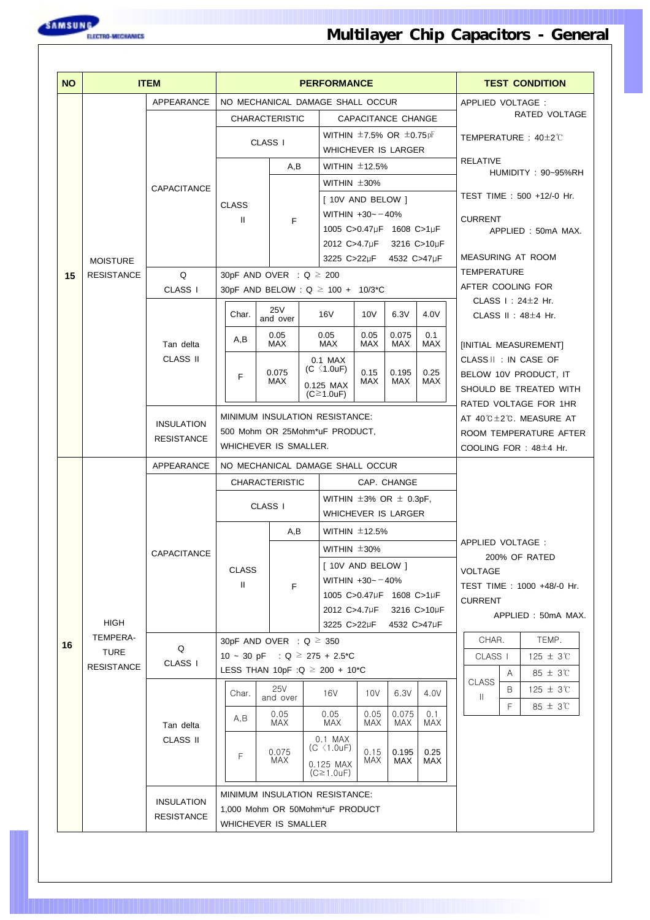

| <b>NO</b> |                   | <b>ITEM</b>                  |                                                    |                    |  | <b>PERFORMANCE</b>                                              |                    |                            |                   |                    | <b>TEST CONDITION</b> |                                                |  |  |
|-----------|-------------------|------------------------------|----------------------------------------------------|--------------------|--|-----------------------------------------------------------------|--------------------|----------------------------|-------------------|--------------------|-----------------------|------------------------------------------------|--|--|
|           |                   | APPEARANCE                   | NO MECHANICAL DAMAGE SHALL OCCUR                   |                    |  |                                                                 |                    |                            |                   | APPLIED VOLTAGE :  |                       |                                                |  |  |
|           |                   |                              | <b>CHARACTERISTIC</b>                              |                    |  |                                                                 |                    | CAPACITANCE CHANGE         |                   |                    |                       | RATED VOLTAGE                                  |  |  |
|           |                   |                              |                                                    | CLASS I            |  | WITHIN $\pm$ 7.5% OR $\pm$ 0.75pF<br><b>WHICHEVER IS LARGER</b> |                    |                            |                   |                    |                       | TEMPERATURE : $40\pm2\degree$                  |  |  |
|           |                   |                              |                                                    | A,B                |  | WITHIN $\pm$ 12.5%                                              |                    |                            | <b>RELATIVE</b>   |                    | HUMIDITY: 90~95%RH    |                                                |  |  |
|           |                   | CAPACITANCE                  |                                                    |                    |  | WITHIN $\pm 30\%$                                               |                    |                            |                   |                    |                       |                                                |  |  |
|           |                   |                              | <b>CLASS</b>                                       |                    |  | [ 10V AND BELOW ]                                               |                    |                            |                   |                    |                       | TEST TIME : 500 +12/-0 Hr.                     |  |  |
|           |                   |                              | $\mathbf{H}$                                       | F                  |  | WITHIN $+30 - -40%$<br>1005 C>0.47µF 1608 C>1µF                 |                    |                            |                   | <b>CURRENT</b>     |                       |                                                |  |  |
|           |                   |                              |                                                    |                    |  | 2012 C>4.7µF                                                    |                    |                            | 3216 C>10µF       |                    |                       | APPLIED: 50mA MAX.                             |  |  |
|           | <b>MOISTURE</b>   |                              |                                                    |                    |  | 3225 C>22µF 4532 C>47µF                                         |                    |                            |                   | MEASURING AT ROOM  |                       |                                                |  |  |
| 15        | <b>RESISTANCE</b> | Q                            | 30pF AND OVER : $Q \ge 200$                        |                    |  |                                                                 |                    |                            |                   | <b>TEMPERATURE</b> |                       |                                                |  |  |
|           |                   | CLASS <sub>I</sub>           | 30pF AND BELOW : $Q \ge 100 + 10/3$ <sup>*</sup> C |                    |  |                                                                 |                    |                            |                   | AFTER COOLING FOR  |                       | CLASS $\vdots$ 24 $\pm$ 2 Hr.                  |  |  |
|           |                   |                              | Char.                                              | 25V<br>and over    |  | 16V                                                             | 10V                | 6.3V                       | 4.0V              |                    |                       | CLASS $II : 48 \pm 4$ Hr.                      |  |  |
|           |                   | Tan delta                    | A,B                                                | 0.05<br><b>MAX</b> |  | 0.05<br><b>MAX</b>                                              | 0.05<br><b>MAX</b> | 0.075<br><b>MAX</b>        | 0.1<br><b>MAX</b> |                    |                       |                                                |  |  |
|           |                   | <b>CLASS II</b>              |                                                    |                    |  | 0.1 MAX                                                         |                    |                            |                   |                    |                       | [INITIAL MEASUREMENT]<br>CLASS II : IN CASE OF |  |  |
|           |                   |                              | F                                                  | 0.075<br>MAX       |  | $(C \langle 1.0uF \rangle)$<br>0.15<br>MAX                      |                    | 0.195<br>MAX               | 0.25<br>MAX       |                    |                       | BELOW 10V PRODUCT, IT                          |  |  |
|           |                   |                              |                                                    |                    |  | 0.125 MAX<br>$(C \geq 1.0$ uF)                                  |                    |                            |                   |                    |                       | SHOULD BE TREATED WITH                         |  |  |
|           |                   |                              | <b>MINIMUM INSULATION RESISTANCE:</b>              |                    |  | RATED VOLTAGE FOR 1HR<br>AT 40℃±2℃. MEASURE AT                  |                    |                            |                   |                    |                       |                                                |  |  |
|           |                   | <b>INSULATION</b>            | 500 Mohm OR 25Mohm*uF PRODUCT,                     |                    |  |                                                                 |                    | ROOM TEMPERATURE AFTER     |                   |                    |                       |                                                |  |  |
|           |                   | <b>RESISTANCE</b>            | WHICHEVER IS SMALLER.                              |                    |  |                                                                 |                    | COOLING FOR : $48\pm4$ Hr. |                   |                    |                       |                                                |  |  |
|           |                   | APPEARANCE                   | NO MECHANICAL DAMAGE SHALL OCCUR                   |                    |  |                                                                 |                    |                            |                   |                    |                       |                                                |  |  |
|           |                   |                              | <b>CHARACTERISTIC</b><br>CAP. CHANGE               |                    |  |                                                                 |                    |                            |                   |                    |                       |                                                |  |  |
|           |                   |                              |                                                    | CLASS I            |  | WITHIN $\pm 3\%$ OR $\pm$ 0.3pF,                                |                    |                            |                   |                    |                       |                                                |  |  |
|           |                   |                              |                                                    |                    |  | <b>WHICHEVER IS LARGER</b><br>WITHIN $\pm$ 12.5%                |                    |                            |                   |                    |                       |                                                |  |  |
|           |                   |                              |                                                    | A,B                |  |                                                                 |                    |                            |                   | APPLIED VOLTAGE :  |                       |                                                |  |  |
|           |                   | CAPACITANCE                  |                                                    |                    |  | WITHIN $\pm 30\%$<br>[ 10V AND BELOW ]                          |                    |                            |                   |                    |                       | 200% OF RATED                                  |  |  |
|           |                   |                              | <b>CLASS</b><br>Ш                                  | F                  |  | WITHIN $+30 - -40%$                                             |                    |                            |                   | <b>VOLTAGE</b>     |                       | TEST TIME: 1000 +48/-0 Hr.                     |  |  |
|           |                   |                              |                                                    |                    |  | 1005 C>0.47µF 1608 C>1µF                                        |                    |                            |                   | <b>CURRENT</b>     |                       |                                                |  |  |
|           | HIGH              |                              |                                                    |                    |  | 2012 C>4.7µF<br>3225 C>22µF                                     |                    | 4532 C>47µF                | 3216 C>10µF       |                    |                       | APPLIED: 50mA MAX.                             |  |  |
| 16        | TEMPERA-          |                              | 30pF AND OVER : $Q \ge 350$                        |                    |  |                                                                 |                    |                            |                   | CHAR.              |                       | TEMP.                                          |  |  |
|           | <b>TURE</b>       | Q<br>CLASS I                 | 10 ~ 30 pF : $Q \ge 275 + 2.5$ <sup>*</sup> C      |                    |  |                                                                 |                    |                            |                   | CLASS <sub>I</sub> |                       | $125 \pm 3^{\circ}$                            |  |  |
|           | <b>RESISTANCE</b> |                              | LESS THAN 10pF : Q $\geq$ 200 + 10 <sup>*</sup> C  |                    |  |                                                                 |                    |                            |                   | <b>CLASS</b>       | A                     | $85 \pm 3^{\circ}$                             |  |  |
|           |                   |                              | Char.                                              | 25V<br>and over    |  | 16V                                                             | 10V                | 6.3V                       | 4.0V              | $\mathbf{H}$       | В                     | $125 \pm 3^{\circ}$                            |  |  |
|           |                   |                              | A,B                                                | 0.05               |  | 0.05                                                            | 0.05               | 0.075                      | 0.1               |                    | F                     | $85 \pm 3$ °C                                  |  |  |
|           |                   | Tan delta<br><b>CLASS II</b> |                                                    | MAX                |  | MAX<br>$0.1$ MAX                                                | MAX                | MAX                        | MAX               |                    |                       |                                                |  |  |
|           |                   |                              | F                                                  | 0.075              |  | $(C \langle 1.0 \text{uF})$                                     | 0.15               | 0.195                      | 0.25              |                    |                       |                                                |  |  |
|           |                   |                              |                                                    | MAX                |  | MAX<br>0.125 MAX<br>$(C \geq 1.0$ uF)                           |                    | MAX                        | MAX               |                    |                       |                                                |  |  |
|           |                   | <b>INSULATION</b>            | MINIMUM INSULATION RESISTANCE:                     |                    |  |                                                                 |                    |                            |                   |                    |                       |                                                |  |  |
|           |                   | <b>RESISTANCE</b>            | 1,000 Mohm OR 50Mohm*uF PRODUCT                    |                    |  |                                                                 |                    |                            |                   |                    |                       |                                                |  |  |
|           |                   |                              | WHICHEVER IS SMALLER                               |                    |  |                                                                 |                    |                            |                   |                    |                       |                                                |  |  |